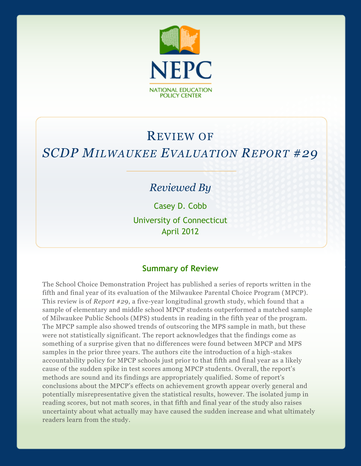

# REVIEW OF *SCDP MILWAUKEE EVALUATION REPORT #29*

## *Reviewed By*

Casey D. Cobb

University of Connecticut April 2012

#### **Summary of Review**

The School Choice Demonstration Project has published a series of reports written in the fifth and final year of its evaluation of the Milwaukee Parental Choice Program (MPCP). This review is of *Report #29*, a five-year longitudinal growth study, which found that a sample of elementary and middle school MPCP students outperformed a matched sample of Milwaukee Public Schools (MPS) students in reading in the fifth year of the program. The MPCP sample also showed trends of outscoring the MPS sample in math, but these were not statistically significant. The report acknowledges that the findings come as something of a surprise given that no differences were found between MPCP and MPS samples in the prior three years. The authors cite the introduction of a high-stakes accountability policy for MPCP schools just prior to that fifth and final year as a likely cause of the sudden spike in test scores among MPCP students. Overall, the report's methods are sound and its findings are appropriately qualified. Some of report's conclusions about the MPCP's effects on achievement growth appear overly general and potentially misrepresentative given the statistical results, however. The isolated jump in reading scores, but not math scores, in that fifth and final year of the study also raises uncertainty about what actually may have caused the sudden increase and what ultimately readers learn from the study.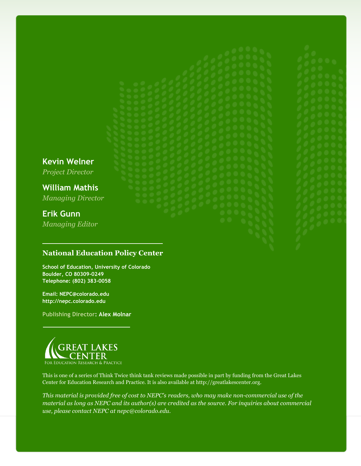**Kevin Welner**

*Project Director*

**William Mathis** *Managing Director*

## **Erik Gunn**

*Managing Editor*

#### **National Education Policy Center**

**School of Education, University of Colorado Boulder, CO 80309-0249 Telephone: (802) 383-0058**

**Email: NEPC@colorado.edu http://nepc.colorado.edu**

**Publishing Director: Alex Molnar**



This is one of a series of Think Twice think tank reviews made possible in part by funding from the Great Lakes Center for Education Research and Practice. It is also available at http://greatlakescenter.org.

*This material is provided free of cost to NEPC's readers, who may make non-commercial use of the material as long as NEPC and its author(s) are credited as the source. For inquiries about commercial use, please contact NEPC at nepc@colorado.edu.*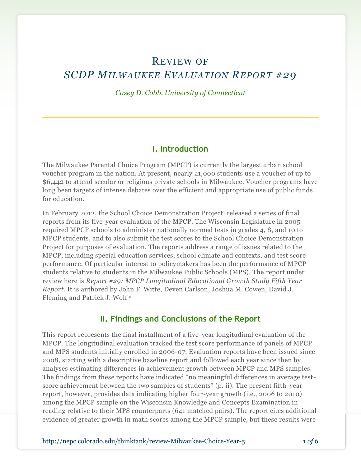## REVIEW OF *SCDP MILWAUKEE EVALUATION REPORT #29*

*Casey D. Cobb, University of Connecticut*

#### **I. Introduction**

The Milwaukee Parental Choice Program (MPCP) is currently the largest urban school voucher program in the nation. At present, nearly 21,000 students use a voucher of up to \$6,442 to attend secular or religious private schools in Milwaukee. Voucher programs have long been targets of intense debates over the efficient and appropriate use of public funds for education.

In February 2012, the School Choice Demonstration Project<sup>1</sup> released a series of final reports from its five-year evaluation of the MPCP. The Wisconsin Legislature in 2005 required MPCP schools to administer nationally normed tests in grades 4, 8, and 10 to MPCP students, and to also submit the test scores to the School Choice Demonstration Project for purposes of evaluation. The reports address a range of issues related to the MPCP, including special education services, school climate and contexts, and test score performance. Of particular interest to policymakers has been the performance of MPCP students relative to students in the Milwaukee Public Schools (MPS). The report under review here is *Report #29: MPCP Longitudinal Educational Growth Study Fifth Year Report.* It is authored by John F. Witte, Deven Carlson, Joshua M. Cowen, David J. Fleming and Patrick J. Wolf <sup>2</sup>

#### **II. Findings and Conclusions of the Report**

This report represents the final installment of a five-year longitudinal evaluation of the MPCP. The longitudinal evaluation tracked the test score performance of panels of MPCP and MPS students initially enrolled in 2006-07. Evaluation reports have been issued since 2008, starting with a descriptive baseline report and followed each year since then by analyses estimating differences in achievement growth between MPCP and MPS samples. The findings from these reports have indicated "no meaningful differences in average testscore achievement between the two samples of students" (p. ii). The present fifth-year report, however, provides data indicating higher four-year growth (i.e., 2006 to 2010) among the MPCP sample on the Wisconsin Knowledge and Concepts Examination in reading relative to their MPS counterparts (641 matched pairs). The report cites additional evidence of greater growth in math scores among the MPCP sample, but these results were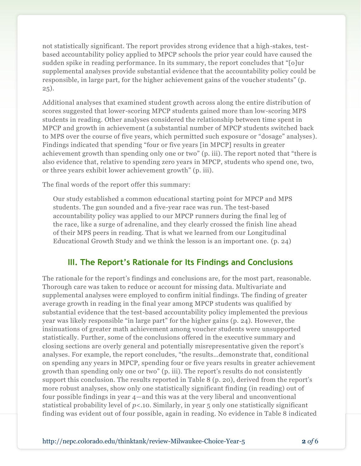not statistically significant. The report provides strong evidence that a high-stakes, testbased accountability policy applied to MPCP schools the prior year could have caused the sudden spike in reading performance. In its summary, the report concludes that "[o]ur supplemental analyses provide substantial evidence that the accountability policy could be responsible, in large part, for the higher achievement gains of the voucher students" (p. 25).

Additional analyses that examined student growth across along the entire distribution of scores suggested that lower-scoring MPCP students gained more than low-scoring MPS students in reading. Other analyses considered the relationship between time spent in MPCP and growth in achievement (a substantial number of MPCP students switched back to MPS over the course of five years, which permitted such exposure or "dosage" analyses ). Findings indicated that spending "four or five years [in MPCP] results in greater achievement growth than spending only one or two" (p. iii). The report noted that "there is also evidence that, relative to spending zero years in MPCP, students who spend one, two, or three years exhibit lower achievement growth" (p. iii).

The final words of the report offer this summary:

Our study established a common educational starting point for MPCP and MPS students. The gun sounded and a five-year race was run. The test-based accountability policy was applied to our MPCP runners during the final leg of the race, like a surge of adrenaline, and they clearly crossed the finish line ahead of their MPS peers in reading. That is what we learned from our Longitudinal Educational Growth Study and we think the lesson is an important one. (p. 24)

#### **III. The Report's Rationale for Its Findings and Conclusions**

The rationale for the report's findings and conclusions are, for the most part, reasonable. Thorough care was taken to reduce or account for missing data. Multivariate and supplemental analyses were employed to confirm initial findings. The finding of greater average growth in reading in the final year among MPCP students was qualified by substantial evidence that the test-based accountability policy implemented the previous year was likely responsible "in large part" for the higher gains (p. 24). However, the insinuations of greater math achievement among voucher students were unsupported statistically. Further, some of the conclusions offered in the executive summary and closing sections are overly general and potentially misrepresentative given the report's analyses. For example, the report concludes, "the results…demonstrate that, conditional on spending any years in MPCP, spending four or five years results in greater achievement growth than spending only one or two" (p. iii). The report's results do not consistently support this conclusion. The results reported in Table 8 (p. 20), derived from the report's more robust analyses, show only one statistically significant finding (in reading) out of four possible findings in year 4—and this was at the very liberal and unconventional statistical probability level of *p*<.10. Similarly, in year 5 only one statistically significant finding was evident out of four possible, again in reading. No evidence in Table 8 indicated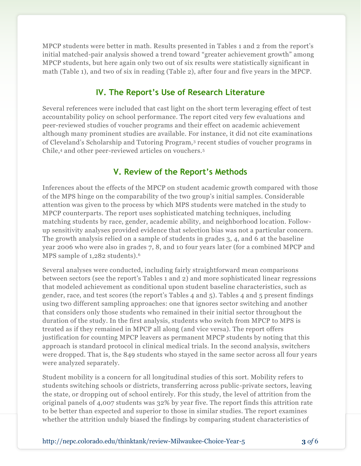MPCP students were better in math. Results presented in Tables 1 and 2 from the report's initial matched-pair analysis showed a trend toward "greater achievement growth" among MPCP students, but here again only two out of six results were statistically significant in math (Table 1), and two of six in reading (Table 2), after four and five years in the MPCP.

#### **IV. The Report's Use of Research Literature**

Several references were included that cast light on the short term leveraging effect of test accountability policy on school performance. The report cited very few evaluations and peer-reviewed studies of voucher programs and their effect on academic achievement although many prominent studies are available. For instance, it did not cite examinations of Cleveland's Scholarship and Tutoring Program,<sup>3</sup> recent studies of voucher programs in Chile,<sup>4</sup> and other peer-reviewed articles on vouchers.<sup>5</sup>

### **V. Review of the Report's Methods**

Inferences about the effects of the MPCP on student academic growth compared with those of the MPS hinge on the comparability of the two group's initial samples. Considerable attention was given to the process by which MPS students were matched in the study to MPCP counterparts. The report uses sophisticated matching techniques, including matching students by race, gender, academic ability, and neighborhood location. Followup sensitivity analyses provided evidence that selection bias was not a particular concern. The growth analysis relied on a sample of students in grades 3, 4, and 6 at the baseline year 2006 who were also in grades 7, 8, and 10 four years later (for a combined MPCP and MPS sample of 1,282 students).<sup>6</sup>

Several analyses were conducted, including fairly straightforward mean comparisons between sectors (see the report's Tables 1 and 2) and more sophisticated linear regressions that modeled achievement as conditional upon student baseline characteristics, such as gender, race, and test scores (the report's Tables 4 and 5). Tables 4 and 5 present findings using two different sampling approaches: one that ignores sector switching and another that considers only those students who remained in their initial sector throughout the duration of the study. In the first analysis, students who switch from MPCP to MPS is treated as if they remained in MPCP all along (and vice versa). The report offers justification for counting MPCP leavers as permanent MPCP students by noting that this approach is standard protocol in clinical medical trials. In the second analysis, switchers were dropped. That is, the 849 students who stayed in the same sector across all four years were analyzed separately.

Student mobility is a concern for all longitudinal studies of this sort. Mobility refers to students switching schools or districts, transferring across public-private sectors, leaving the state, or dropping out of school entirely. For this study, the level of attrition from the original panels of 4,007 students was 32% by year five. The report finds this attrition rate to be better than expected and superior to those in similar studies. The report examines whether the attrition unduly biased the findings by comparing student characteristics of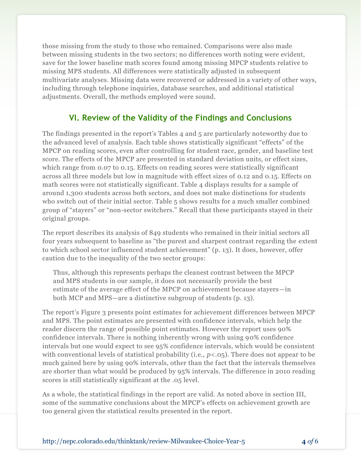those missing from the study to those who remained. Comparisons were also made between missing students in the two sectors; no differences worth noting were evident, save for the lower baseline math scores found among missing MPCP students relative to missing MPS students. All differences were statistically adjusted in subsequent multivariate analyses. Missing data were recovered or addressed in a variety of other ways, including through telephone inquiries, database searches, and additional statistical adjustments. Overall, the methods employed were sound.

#### **VI. Review of the Validity of the Findings and Conclusions**

The findings presented in the report's Tables 4 and 5 are particularly noteworthy due to the advanced level of analysis. Each table shows statistically significant "effects" of the MPCP on reading scores, even after controlling for student race, gender, and baseline test score. The effects of the MPCP are presented in standard deviation units, or effect sizes, which range from 0.07 to 0.15. Effects on reading scores were statistically significant across all three models but low in magnitude with effect sizes of 0.12 and 0.15. Effects on math scores were not statistically significant. Table 4 displays results for a sample of around 1,300 students across both sectors, and does not make distinctions for students who switch out of their initial sector. Table 5 shows results for a much smaller combined group of "stayers" or "non-sector switchers." Recall that these participants stayed in their original groups.

The report describes its analysis of 849 students who remained in their initial sectors all four years subsequent to baseline as "the purest and sharpest contrast regarding the extent to which school sector influenced student achievement" (p. 13). It does, however, offer caution due to the inequality of the two sector groups:

Thus, although this represents perhaps the cleanest contrast between the MPCP and MPS students in our sample, it does not necessarily provide the best estimate of the average effect of the MPCP on achievement because stayers—in both MCP and MPS—are a distinctive subgroup of students (p. 13).

The report's Figure 3 presents point estimates for achievement differences between MPCP and MPS. The point estimates are presented with confidence intervals, which help the reader discern the range of possible point estimates. However the report uses 90% confidence intervals. There is nothing inherently wrong with using 90% confidence intervals but one would expect to see 95% confidence intervals, which would be consistent with conventional levels of statistical probability (i.e.,  $p < 0.05$ ). There does not appear to be much gained here by using 90% intervals, other than the fact that the intervals themselves are shorter than what would be produced by 95% intervals. The difference in 2010 reading scores is still statistically significant at the .05 level.

As a whole, the statistical findings in the report are valid. As noted above in section III, some of the summative conclusions about the MPCP's effects on achievement growth are too general given the statistical results presented in the report.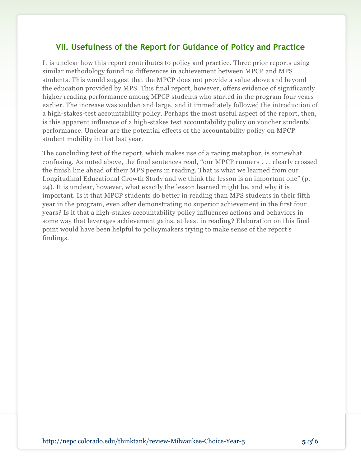#### **VII. Usefulness of the Report for Guidance of Policy and Practice**

It is unclear how this report contributes to policy and practice. Three prior reports using similar methodology found no differences in achievement between MPCP and MPS students. This would suggest that the MPCP does not provide a value above and beyond the education provided by MPS. This final report, however, offers evidence of significantly higher reading performance among MPCP students who started in the program four years earlier. The increase was sudden and large, and it immediately followed the introduction of a high-stakes-test accountability policy. Perhaps the most useful aspect of the report, then, is this apparent influence of a high-stakes test accountability policy on voucher students' performance. Unclear are the potential effects of the accountability policy on MPCP student mobility in that last year.

The concluding text of the report, which makes use of a racing metaphor, is somewhat confusing. As noted above, the final sentences read, "our MPCP runners . . . clearly crossed the finish line ahead of their MPS peers in reading. That is what we learned from our Longitudinal Educational Growth Study and we think the lesson is an important one" (p. 24). It is unclear, however, what exactly the lesson learned might be, and why it is important. Is it that MPCP students do better in reading than MPS students in their fifth year in the program, even after demonstrating no superior achievement in the first four years? Is it that a high-stakes accountability policy influences actions and behaviors in some way that leverages achievement gains, at least in reading? Elaboration on this final point would have been helpful to policymakers trying to make sense of the report's findings.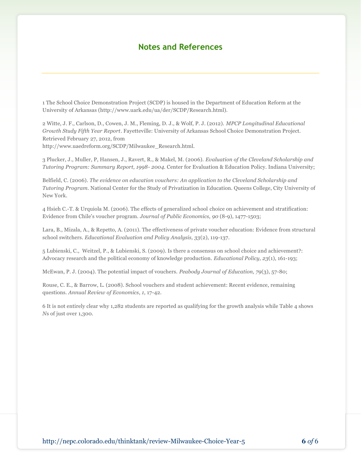#### **Notes and References**

1 The School Choice Demonstration Project (SCDP) is housed in the Department of Education Reform at the University of Arkansas (http://www.uark.edu/ua/der/SCDP/Research.html).

2 Witte, J. F., Carlson, D., Cowen, J. M., Fleming, D. J., & Wolf, P. J. (2012). *MPCP Longitudinal Educational Growth Study Fifth Year Report*. Fayetteville: University of Arkansas School Choice Demonstration Project. Retrieved February 27, 2012, from

http://www.uaedreform.org/SCDP/Milwaukee\_Research.html.

3 Plucker, J., Muller, P, Hansen, J., Ravert, R., & Makel, M. (2006). *Evaluation of the Cleveland Scholarship and Tutoring Program: Summary Report, 1998- 2004.* Center for Evaluation & Education Policy. Indiana University;

Belfield, C. (2006). *The evidence on education vouchers: An application to the Cleveland Scholarship and Tutoring Program.* National Center for the Study of Privatization in Education. Queens College, City University of New York.

4 Hsieh C.-T. & Urquiola M. (2006). The effects of generalized school choice on achievement and stratification: Evidence from Chile's voucher program. *Journal of Public Economics, 90* (8-9), 1477-1503;

Lara, B., Mizala, A., & Repetto, A. (2011). The effectiveness of private voucher education: Evidence from structural school switchers. *Educational Evaluation and Policy Analysis, 33*(2), 119-137.

5 Lubienski, C., Weitzel, P., & Lubienski, S. (2009). Is there a consensus on school choice and achievement?: Advocacy research and the political economy of knowledge production. *Educational Policy, 23*(1), 161-193;

McEwan, P. J. (2004). The potential impact of vouchers. *Peabody Journal of Education, 79*(3), 57-80;

Rouse, C. E., & Barrow, L. (2008). School vouchers and student achievement: Recent evidence, remaining questions. *Annual Review of Economics*, *1,* 17-42.

6 It is not entirely clear why 1,282 students are reported as qualifying for the growth analysis while Table 4 shows *N*s of just over 1,300.